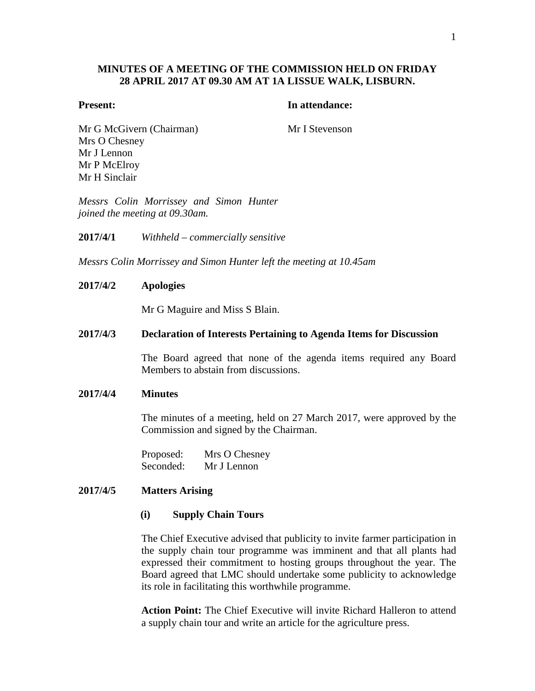# **MINUTES OF A MEETING OF THE COMMISSION HELD ON FRIDAY 28 APRIL 2017 AT 09.30 AM AT 1A LISSUE WALK, LISBURN.**

## **Present: In attendance:**

Mr G McGivern (Chairman) Mr I Stevenson Mrs O Chesney Mr J Lennon Mr P McElroy Mr H Sinclair

*Messrs Colin Morrissey and Simon Hunter joined the meeting at 09.30am.*

**2017/4/1** *Withheld – commercially sensitive*

*Messrs Colin Morrissey and Simon Hunter left the meeting at 10.45am*

## **2017/4/2 Apologies**

Mr G Maguire and Miss S Blain.

### **2017/4/3 Declaration of Interests Pertaining to Agenda Items for Discussion**

The Board agreed that none of the agenda items required any Board Members to abstain from discussions.

### **2017/4/4 Minutes**

The minutes of a meeting, held on 27 March 2017, were approved by the Commission and signed by the Chairman.

Proposed: Mrs O Chesney Seconded: Mr J Lennon

### **2017/4/5 Matters Arising**

## **(i) Supply Chain Tours**

The Chief Executive advised that publicity to invite farmer participation in the supply chain tour programme was imminent and that all plants had expressed their commitment to hosting groups throughout the year. The Board agreed that LMC should undertake some publicity to acknowledge its role in facilitating this worthwhile programme.

**Action Point:** The Chief Executive will invite Richard Halleron to attend a supply chain tour and write an article for the agriculture press.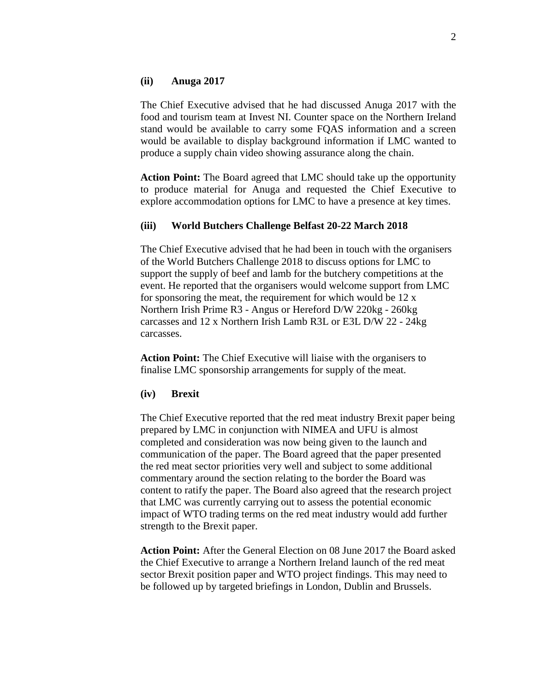## **(ii) Anuga 2017**

The Chief Executive advised that he had discussed Anuga 2017 with the food and tourism team at Invest NI. Counter space on the Northern Ireland stand would be available to carry some FQAS information and a screen would be available to display background information if LMC wanted to produce a supply chain video showing assurance along the chain.

**Action Point:** The Board agreed that LMC should take up the opportunity to produce material for Anuga and requested the Chief Executive to explore accommodation options for LMC to have a presence at key times.

## **(iii) World Butchers Challenge Belfast 20-22 March 2018**

The Chief Executive advised that he had been in touch with the organisers of the World Butchers Challenge 2018 to discuss options for LMC to support the supply of beef and lamb for the butchery competitions at the event. He reported that the organisers would welcome support from LMC for sponsoring the meat, the requirement for which would be 12 x Northern Irish Prime R3 - Angus or Hereford D/W 220kg - 260kg carcasses and 12 x Northern Irish Lamb R3L or E3L D/W 22 - 24kg carcasses.

**Action Point:** The Chief Executive will liaise with the organisers to finalise LMC sponsorship arrangements for supply of the meat.

### **(iv) Brexit**

The Chief Executive reported that the red meat industry Brexit paper being prepared by LMC in conjunction with NIMEA and UFU is almost completed and consideration was now being given to the launch and communication of the paper. The Board agreed that the paper presented the red meat sector priorities very well and subject to some additional commentary around the section relating to the border the Board was content to ratify the paper. The Board also agreed that the research project that LMC was currently carrying out to assess the potential economic impact of WTO trading terms on the red meat industry would add further strength to the Brexit paper.

**Action Point:** After the General Election on 08 June 2017 the Board asked the Chief Executive to arrange a Northern Ireland launch of the red meat sector Brexit position paper and WTO project findings. This may need to be followed up by targeted briefings in London, Dublin and Brussels.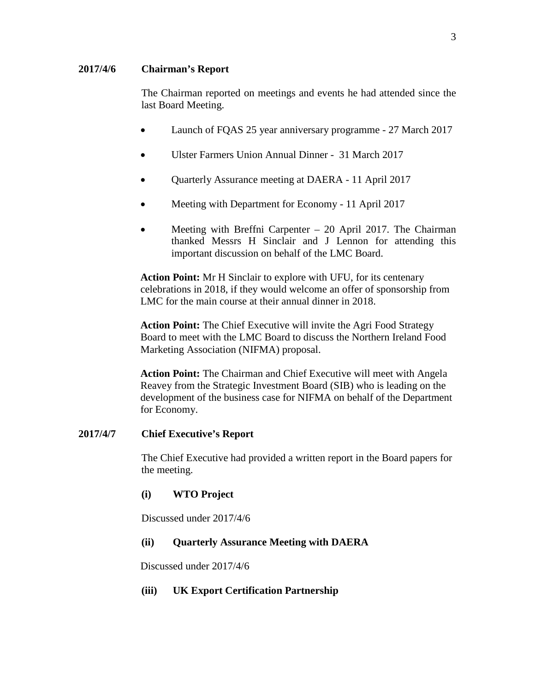## **2017/4/6 Chairman's Report**

The Chairman reported on meetings and events he had attended since the last Board Meeting.

- Launch of FQAS 25 year anniversary programme 27 March 2017
- Ulster Farmers Union Annual Dinner 31 March 2017
- Quarterly Assurance meeting at DAERA 11 April 2017
- Meeting with Department for Economy 11 April 2017
- Meeting with Breffni Carpenter 20 April 2017. The Chairman thanked Messrs H Sinclair and J Lennon for attending this important discussion on behalf of the LMC Board.

**Action Point:** Mr H Sinclair to explore with UFU, for its centenary celebrations in 2018, if they would welcome an offer of sponsorship from LMC for the main course at their annual dinner in 2018.

**Action Point:** The Chief Executive will invite the Agri Food Strategy Board to meet with the LMC Board to discuss the Northern Ireland Food Marketing Association (NIFMA) proposal.

**Action Point:** The Chairman and Chief Executive will meet with Angela Reavey from the Strategic Investment Board (SIB) who is leading on the development of the business case for NIFMA on behalf of the Department for Economy.

#### **2017/4/7 Chief Executive's Report**

The Chief Executive had provided a written report in the Board papers for the meeting.

# **(i) WTO Project**

Discussed under 2017/4/6

#### **(ii) Quarterly Assurance Meeting with DAERA**

Discussed under 2017/4/6

## **(iii) UK Export Certification Partnership**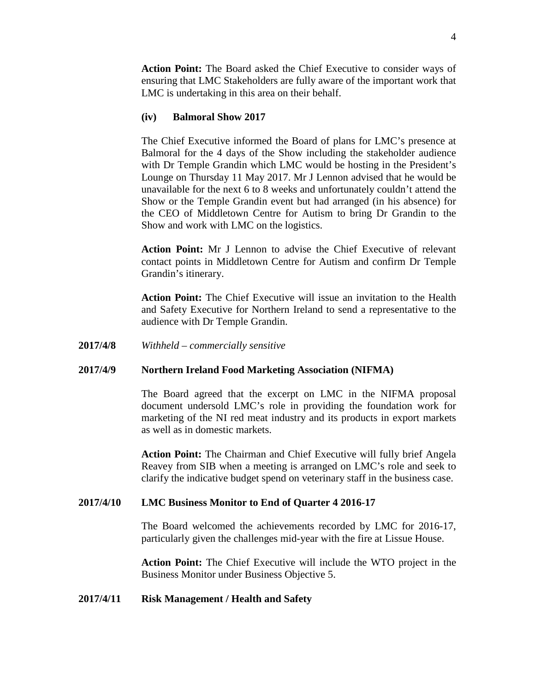**Action Point:** The Board asked the Chief Executive to consider ways of ensuring that LMC Stakeholders are fully aware of the important work that LMC is undertaking in this area on their behalf.

# **(iv) Balmoral Show 2017**

The Chief Executive informed the Board of plans for LMC's presence at Balmoral for the 4 days of the Show including the stakeholder audience with Dr Temple Grandin which LMC would be hosting in the President's Lounge on Thursday 11 May 2017. Mr J Lennon advised that he would be unavailable for the next 6 to 8 weeks and unfortunately couldn't attend the Show or the Temple Grandin event but had arranged (in his absence) for the CEO of Middletown Centre for Autism to bring Dr Grandin to the Show and work with LMC on the logistics.

**Action Point:** Mr J Lennon to advise the Chief Executive of relevant contact points in Middletown Centre for Autism and confirm Dr Temple Grandin's itinerary.

**Action Point:** The Chief Executive will issue an invitation to the Health and Safety Executive for Northern Ireland to send a representative to the audience with Dr Temple Grandin.

**2017/4/8** *Withheld – commercially sensitive*

# **2017/4/9 Northern Ireland Food Marketing Association (NIFMA)**

The Board agreed that the excerpt on LMC in the NIFMA proposal document undersold LMC's role in providing the foundation work for marketing of the NI red meat industry and its products in export markets as well as in domestic markets.

**Action Point:** The Chairman and Chief Executive will fully brief Angela Reavey from SIB when a meeting is arranged on LMC's role and seek to clarify the indicative budget spend on veterinary staff in the business case.

#### **2017/4/10 LMC Business Monitor to End of Quarter 4 2016-17**

The Board welcomed the achievements recorded by LMC for 2016-17, particularly given the challenges mid-year with the fire at Lissue House.

**Action Point:** The Chief Executive will include the WTO project in the Business Monitor under Business Objective 5.

#### **2017/4/11 Risk Management / Health and Safety**